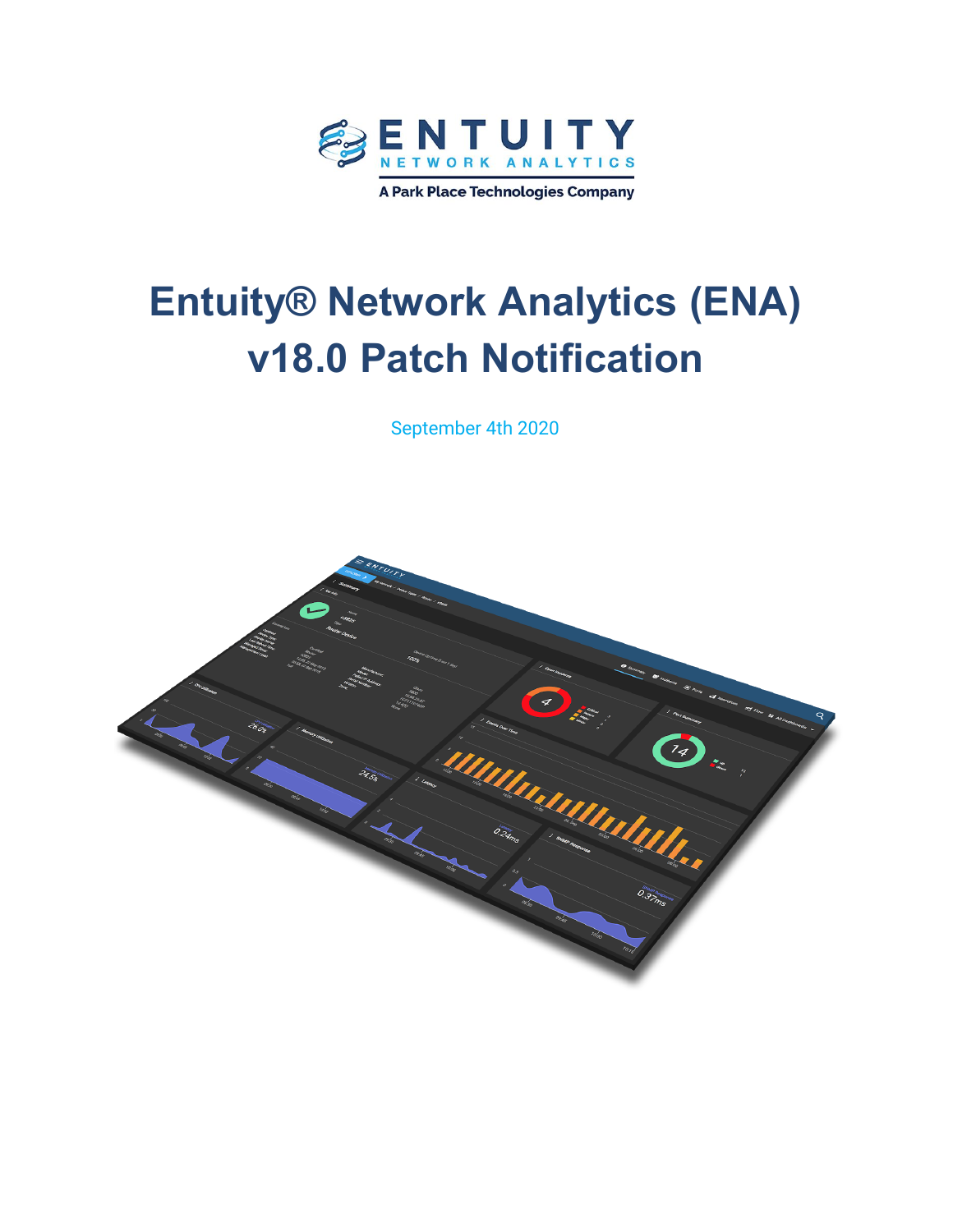

# **Entuity® Network Analytics (ENA) v18.0 Patch Notification**

September 4th 2020

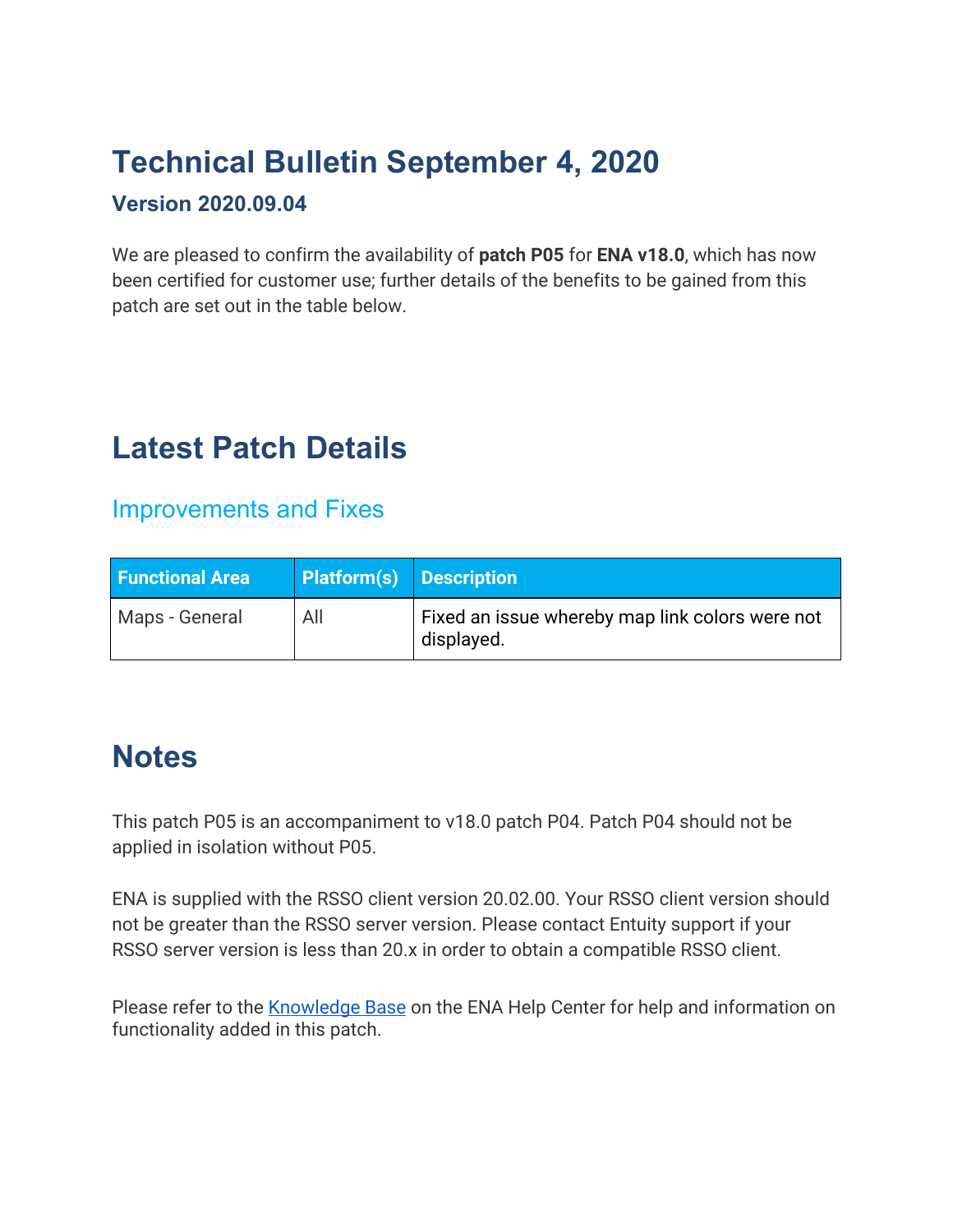## **Technical Bulletin September 4, 2020**

#### **Version 2020.09.04**

We are pleased to confirm the availability of **patch P05** for **ENA v18.0**, which has now been certified for customer use; further details of the benefits to be gained from this patch are set out in the table below.

#### **Latest Patch Details**

Improvements and Fixes

| <b>Functional Area</b> | <b>Platform(s)</b> Description |                                                               |
|------------------------|--------------------------------|---------------------------------------------------------------|
| Maps - General         | All                            | Fixed an issue whereby map link colors were not<br>displayed. |

#### **Notes**

This patch P05 is an accompaniment to v18.0 patch P04. Patch P04 should not be applied in isolation without P05.

ENA is supplied with the RSSO client version 20.02.00. Your RSSO client version should not be greater than the RSSO server version. Please contact Entuity support if your RSSO server version is less than 20.x in order to obtain a compatible RSSO client.

Please refer to the **Knowledge Base** on the ENA Help Center for help and information on functionality added in this patch.